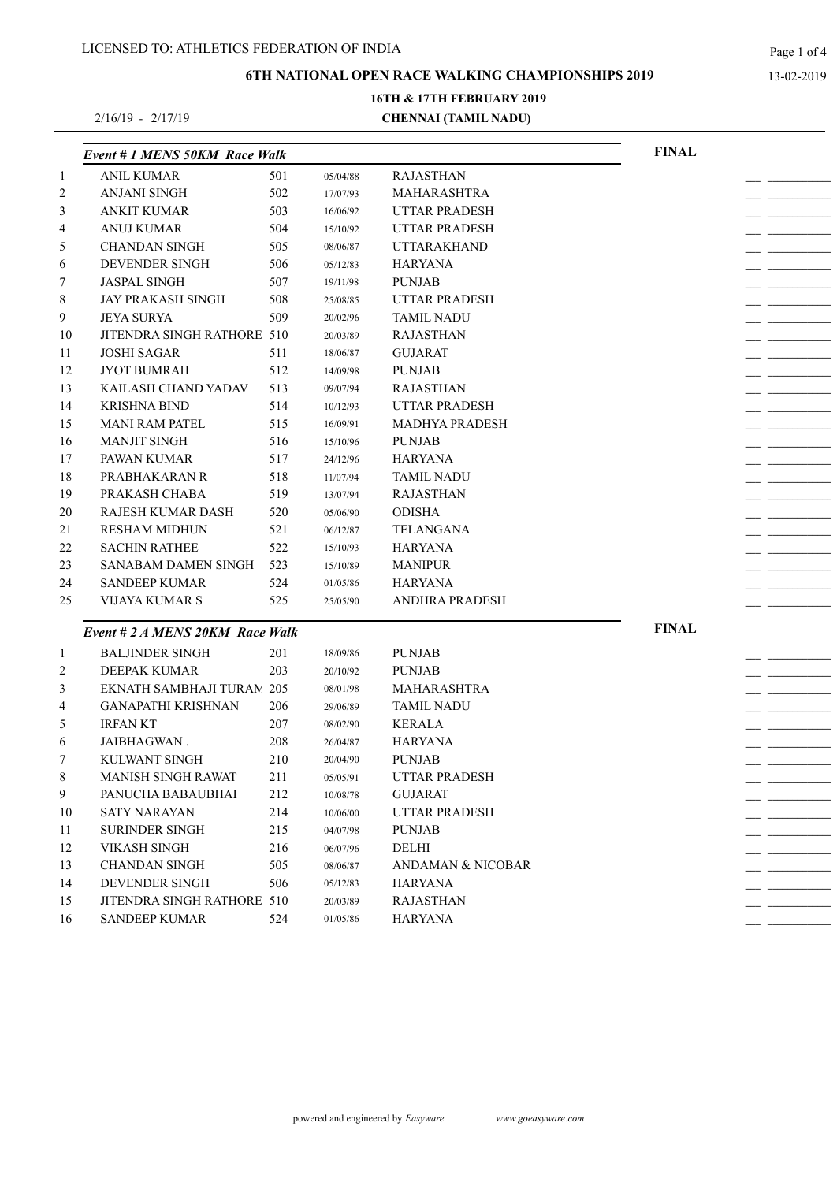**6TH NATIONAL OPEN RACE WALKING CHAMPIONSHIPS 2019**

**16TH & 17TH FEBRUARY 2019**

2/16/19 - 2/17/19

# **CHENNAI (TAMIL NADU)**

|                | Event # 1 MENS 50KM Race Walk    |     |          |                              | <b>FINAL</b> |  |
|----------------|----------------------------------|-----|----------|------------------------------|--------------|--|
| $\mathbf{1}$   | <b>ANIL KUMAR</b>                | 501 | 05/04/88 | <b>RAJASTHAN</b>             |              |  |
| 2              | <b>ANJANI SINGH</b>              | 502 | 17/07/93 | <b>MAHARASHTRA</b>           |              |  |
| 3              | ANKIT KUMAR                      | 503 | 16/06/92 | <b>UTTAR PRADESH</b>         |              |  |
| 4              | ANUJ KUMAR                       | 504 | 15/10/92 | <b>UTTAR PRADESH</b>         |              |  |
| 5              | <b>CHANDAN SINGH</b>             | 505 | 08/06/87 | <b>UTTARAKHAND</b>           |              |  |
| 6              | DEVENDER SINGH                   | 506 | 05/12/83 | <b>HARYANA</b>               |              |  |
| 7              | <b>JASPAL SINGH</b>              | 507 | 19/11/98 | <b>PUNJAB</b>                |              |  |
| 8              | <b>JAY PRAKASH SINGH</b>         | 508 | 25/08/85 | <b>UTTAR PRADESH</b>         |              |  |
| 9              | <b>JEYA SURYA</b>                | 509 | 20/02/96 | <b>TAMIL NADU</b>            |              |  |
| 10             | JITENDRA SINGH RATHORE 510       |     | 20/03/89 | <b>RAJASTHAN</b>             |              |  |
| 11             | <b>JOSHI SAGAR</b>               | 511 | 18/06/87 | <b>GUJARAT</b>               |              |  |
| 12             | <b>JYOT BUMRAH</b>               | 512 | 14/09/98 | <b>PUNJAB</b>                |              |  |
| 13             | KAILASH CHAND YADAV              | 513 | 09/07/94 | <b>RAJASTHAN</b>             |              |  |
| 14             | <b>KRISHNA BIND</b>              | 514 | 10/12/93 | <b>UTTAR PRADESH</b>         |              |  |
| 15             | <b>MANI RAM PATEL</b>            | 515 | 16/09/91 | <b>MADHYA PRADESH</b>        |              |  |
| 16             | <b>MANJIT SINGH</b>              | 516 | 15/10/96 | <b>PUNJAB</b>                |              |  |
| 17             | PAWAN KUMAR                      | 517 | 24/12/96 | HARYANA                      |              |  |
| 18             | PRABHAKARAN R                    | 518 | 11/07/94 | <b>TAMIL NADU</b>            |              |  |
| 19             | PRAKASH CHABA                    | 519 | 13/07/94 | <b>RAJASTHAN</b>             |              |  |
| 20             | <b>RAJESH KUMAR DASH</b>         | 520 | 05/06/90 | <b>ODISHA</b>                |              |  |
| 21             | <b>RESHAM MIDHUN</b>             | 521 | 06/12/87 | <b>TELANGANA</b>             |              |  |
| 22             | <b>SACHIN RATHEE</b>             | 522 | 15/10/93 | <b>HARYANA</b>               |              |  |
| 23             | SANABAM DAMEN SINGH              | 523 | 15/10/89 | <b>MANIPUR</b>               |              |  |
| 24             | <b>SANDEEP KUMAR</b>             | 524 | 01/05/86 | <b>HARYANA</b>               |              |  |
| 25             | VIJAYA KUMAR S                   | 525 | 25/05/90 | <b>ANDHRA PRADESH</b>        |              |  |
|                |                                  |     |          |                              |              |  |
|                | Event # 2 A MENS 20KM Race Walk  |     |          |                              | <b>FINAL</b> |  |
| $\mathbf{1}$   | <b>BALJINDER SINGH</b>           | 201 | 18/09/86 | <b>PUNJAB</b>                |              |  |
| $\overline{c}$ | <b>DEEPAK KUMAR</b>              | 203 | 20/10/92 | <b>PUNJAB</b>                |              |  |
| 3              | <b>EKNATH SAMBHAJI TURAN 205</b> |     | 08/01/98 | <b>MAHARASHTRA</b>           |              |  |
| $\overline{4}$ | <b>GANAPATHI KRISHNAN</b>        | 206 | 29/06/89 | <b>TAMIL NADU</b>            |              |  |
| 5              | <b>IRFAN KT</b>                  | 207 | 08/02/90 | <b>KERALA</b>                |              |  |
| 6              | JAIBHAGWAN.                      | 208 | 26/04/87 | <b>HARYANA</b>               |              |  |
| $\tau$         | KULWANT SINGH                    | 210 | 20/04/90 | <b>PUNJAB</b>                |              |  |
| $\,8\,$        | MANISH SINGH RAWAT               | 211 | 05/05/91 | <b>UTTAR PRADESH</b>         |              |  |
| 9              | PANUCHA BABAUBHAI                | 212 | 10/08/78 | <b>GUJARAT</b>               |              |  |
| 10             | SATY NARAYAN                     | 214 | 10/06/00 | <b>UTTAR PRADESH</b>         |              |  |
| 11             | <b>SURINDER SINGH</b>            | 215 | 04/07/98 | <b>PUNJAB</b>                |              |  |
| 12             | <b>VIKASH SINGH</b>              | 216 | 06/07/96 | DELHI                        |              |  |
| 13             | <b>CHANDAN SINGH</b>             | 505 | 08/06/87 | <b>ANDAMAN &amp; NICOBAR</b> |              |  |
| 14             | DEVENDER SINGH                   | 506 | 05/12/83 | <b>HARYANA</b>               |              |  |
| 15             | JITENDRA SINGH RATHORE 510       |     | 20/03/89 | <b>RAJASTHAN</b>             |              |  |
| 16             | <b>SANDEEP KUMAR</b>             | 524 | 01/05/86 | <b>HARYANA</b>               |              |  |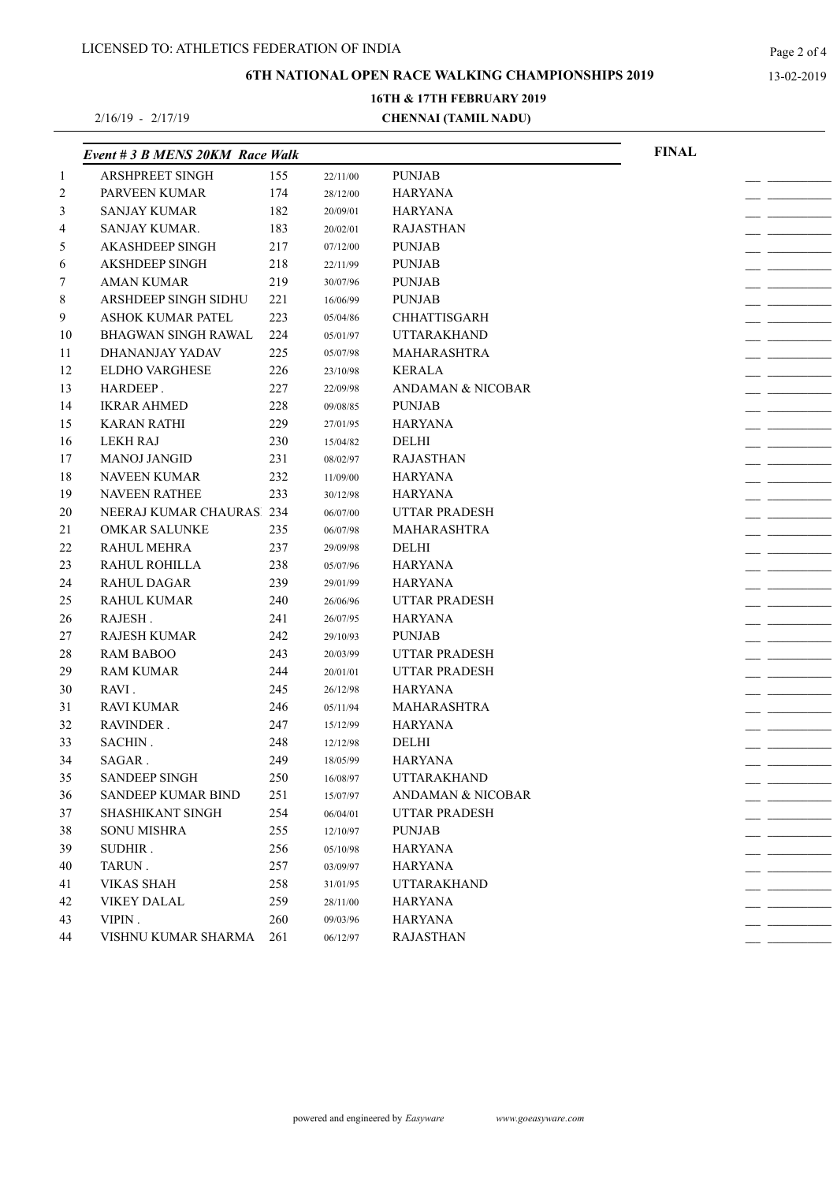**6TH NATIONAL OPEN RACE WALKING CHAMPIONSHIPS 2019**

2/16/19 - 2/17/19

# **CHENNAI (TAMIL NADU) 16TH & 17TH FEBRUARY 2019**

|                | Event # 3 B MENS 20KM Race Walk |     |          |                              | <b>FINAL</b> |  |
|----------------|---------------------------------|-----|----------|------------------------------|--------------|--|
| $\mathbf{1}$   | <b>ARSHPREET SINGH</b>          | 155 | 22/11/00 | <b>PUNJAB</b>                |              |  |
| $\overline{c}$ | PARVEEN KUMAR                   | 174 | 28/12/00 | <b>HARYANA</b>               |              |  |
| 3              | <b>SANJAY KUMAR</b>             | 182 | 20/09/01 | <b>HARYANA</b>               |              |  |
| 4              | SANJAY KUMAR.                   | 183 | 20/02/01 | <b>RAJASTHAN</b>             |              |  |
| 5              | <b>AKASHDEEP SINGH</b>          | 217 | 07/12/00 | <b>PUNJAB</b>                |              |  |
| 6              | <b>AKSHDEEP SINGH</b>           | 218 | 22/11/99 | <b>PUNJAB</b>                |              |  |
| 7              | <b>AMAN KUMAR</b>               | 219 | 30/07/96 | <b>PUNJAB</b>                |              |  |
| 8              | ARSHDEEP SINGH SIDHU            | 221 | 16/06/99 | <b>PUNJAB</b>                |              |  |
| 9              | ASHOK KUMAR PATEL               | 223 | 05/04/86 | <b>CHHATTISGARH</b>          |              |  |
| 10             | <b>BHAGWAN SINGH RAWAL</b>      | 224 | 05/01/97 | <b>UTTARAKHAND</b>           |              |  |
| 11             | DHANANJAY YADAV                 | 225 | 05/07/98 | <b>MAHARASHTRA</b>           |              |  |
| 12             | <b>ELDHO VARGHESE</b>           | 226 | 23/10/98 | <b>KERALA</b>                |              |  |
| 13             | HARDEEP.                        | 227 | 22/09/98 | <b>ANDAMAN &amp; NICOBAR</b> |              |  |
| 14             | <b>IKRAR AHMED</b>              | 228 | 09/08/85 | <b>PUNJAB</b>                |              |  |
| 15             | <b>KARAN RATHI</b>              | 229 | 27/01/95 | <b>HARYANA</b>               |              |  |
| 16             | <b>LEKH RAJ</b>                 | 230 | 15/04/82 | <b>DELHI</b>                 |              |  |
| 17             | <b>MANOJ JANGID</b>             | 231 | 08/02/97 | <b>RAJASTHAN</b>             |              |  |
| 18             | <b>NAVEEN KUMAR</b>             | 232 | 11/09/00 | <b>HARYANA</b>               |              |  |
| 19             | NAVEEN RATHEE                   | 233 | 30/12/98 | <b>HARYANA</b>               |              |  |
| 20             | NEERAJ KUMAR CHAURASI 234       |     | 06/07/00 | <b>UTTAR PRADESH</b>         |              |  |
| 21             | <b>OMKAR SALUNKE</b>            | 235 | 06/07/98 | <b>MAHARASHTRA</b>           |              |  |
| 22             | <b>RAHUL MEHRA</b>              | 237 | 29/09/98 | DELHI                        |              |  |
| 23             | RAHUL ROHILLA                   | 238 | 05/07/96 | HARYANA                      |              |  |
| 24             | <b>RAHUL DAGAR</b>              | 239 | 29/01/99 | HARYANA                      |              |  |
| 25             | <b>RAHUL KUMAR</b>              | 240 | 26/06/96 | <b>UTTAR PRADESH</b>         |              |  |
| 26             | RAJESH.                         | 241 | 26/07/95 | <b>HARYANA</b>               |              |  |
| 27             | <b>RAJESH KUMAR</b>             | 242 | 29/10/93 | <b>PUNJAB</b>                |              |  |
| 28             | <b>RAM BABOO</b>                | 243 | 20/03/99 | <b>UTTAR PRADESH</b>         |              |  |
| 29             | <b>RAM KUMAR</b>                | 244 | 20/01/01 | UTTAR PRADESH                |              |  |
| 30             | RAVI.                           | 245 | 26/12/98 | <b>HARYANA</b>               |              |  |
| 31             | <b>RAVI KUMAR</b>               | 246 | 05/11/94 | <b>MAHARASHTRA</b>           |              |  |
| 32             | RAVINDER.                       | 247 | 15/12/99 | <b>HARYANA</b>               |              |  |
| 33             | SACHIN.                         | 248 | 12/12/98 | DELHI                        |              |  |
| 34             | SAGAR.                          | 249 | 18/05/99 | <b>HARYANA</b>               |              |  |
| 35             | SANDEEP SINGH                   | 250 | 16/08/97 | UTTARAKHAND                  |              |  |
| 36             | <b>SANDEEP KUMAR BIND</b>       | 251 | 15/07/97 | <b>ANDAMAN &amp; NICOBAR</b> |              |  |
| 37             | <b>SHASHIKANT SINGH</b>         | 254 | 06/04/01 | <b>UTTAR PRADESH</b>         |              |  |
| 38             | <b>SONU MISHRA</b>              | 255 | 12/10/97 | <b>PUNJAB</b>                |              |  |
| 39             | SUDHIR.                         | 256 | 05/10/98 | <b>HARYANA</b>               |              |  |
| 40             | TARUN.                          | 257 | 03/09/97 | <b>HARYANA</b>               |              |  |
| 41             | <b>VIKAS SHAH</b>               | 258 | 31/01/95 | <b>UTTARAKHAND</b>           |              |  |
| 42             | <b>VIKEY DALAL</b>              | 259 | 28/11/00 | <b>HARYANA</b>               |              |  |
| 43             | VIPIN.                          | 260 | 09/03/96 | <b>HARYANA</b>               |              |  |
| 44             | VISHNU KUMAR SHARMA             | 261 | 06/12/97 | <b>RAJASTHAN</b>             |              |  |
|                |                                 |     |          |                              |              |  |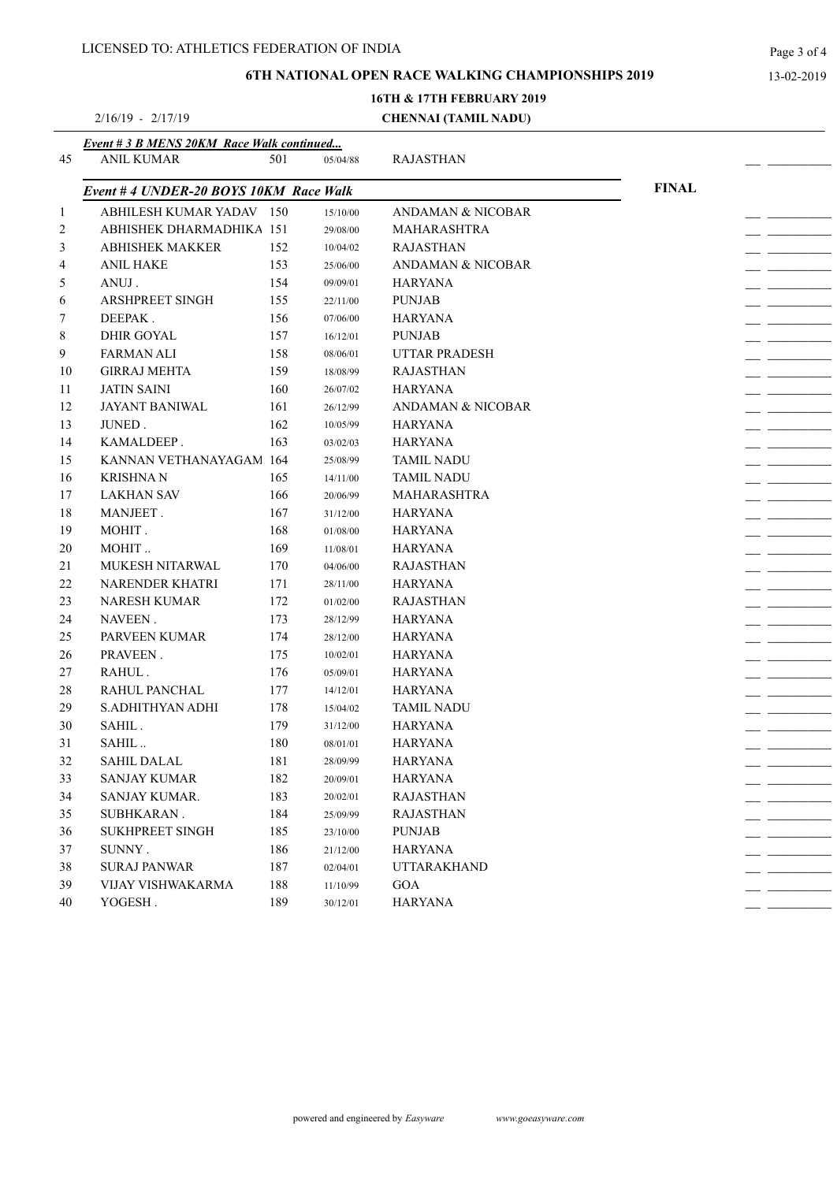2/16/19 - 2/17/19

#### **6TH NATIONAL OPEN RACE WALKING CHAMPIONSHIPS 2019**

# **16TH & 17TH FEBRUARY 2019**

#### **CHENNAI (TAMIL NADU)**

|              | Event # 3 B MENS 20KM Race Walk continued |     |          |                              |              |  |
|--------------|-------------------------------------------|-----|----------|------------------------------|--------------|--|
| 45           | <b>ANIL KUMAR</b>                         | 501 | 05/04/88 | <b>RAJASTHAN</b>             |              |  |
|              | Event # 4 UNDER-20 BOYS 10KM Race Walk    |     |          |                              | <b>FINAL</b> |  |
| $\mathbf{1}$ | ABHILESH KUMAR YADAV 150                  |     | 15/10/00 | <b>ANDAMAN &amp; NICOBAR</b> |              |  |
| 2            | ABHISHEK DHARMADHIKA 151                  |     | 29/08/00 | <b>MAHARASHTRA</b>           |              |  |
| 3            | <b>ABHISHEK MAKKER</b>                    | 152 | 10/04/02 | <b>RAJASTHAN</b>             |              |  |
| 4            | <b>ANIL HAKE</b>                          | 153 | 25/06/00 | ANDAMAN & NICOBAR            |              |  |
| 5            | ANUJ.                                     | 154 | 09/09/01 | <b>HARYANA</b>               |              |  |
| 6            | <b>ARSHPREET SINGH</b>                    | 155 | 22/11/00 | <b>PUNJAB</b>                |              |  |
| 7            | DEEPAK.                                   | 156 | 07/06/00 | HARYANA                      |              |  |
| 8            | <b>DHIR GOYAL</b>                         | 157 | 16/12/01 | <b>PUNJAB</b>                |              |  |
| 9            | <b>FARMAN ALI</b>                         | 158 | 08/06/01 | UTTAR PRADESH                |              |  |
| 10           | <b>GIRRAJ MEHTA</b>                       | 159 | 18/08/99 | <b>RAJASTHAN</b>             |              |  |
| 11           | <b>JATIN SAINI</b>                        | 160 | 26/07/02 | <b>HARYANA</b>               |              |  |
| 12           | <b>JAYANT BANIWAL</b>                     | 161 | 26/12/99 | ANDAMAN & NICOBAR            |              |  |
| 13           | JUNED.                                    | 162 | 10/05/99 | <b>HARYANA</b>               |              |  |
| 14           | KAMALDEEP.                                | 163 | 03/02/03 | <b>HARYANA</b>               |              |  |
| 15           | KANNAN VETHANAYAGAM 164                   |     | 25/08/99 | <b>TAMIL NADU</b>            |              |  |
| 16           | <b>KRISHNAN</b>                           | 165 | 14/11/00 | <b>TAMIL NADU</b>            |              |  |
| 17           | <b>LAKHAN SAV</b>                         | 166 | 20/06/99 | <b>MAHARASHTRA</b>           |              |  |
| 18           | MANJEET.                                  | 167 | 31/12/00 | <b>HARYANA</b>               |              |  |
| 19           | MOHIT.                                    | 168 | 01/08/00 | HARYANA                      |              |  |
| 20           | MOHIT                                     | 169 | 11/08/01 | <b>HARYANA</b>               |              |  |
| 21           | <b>MUKESH NITARWAL</b>                    | 170 | 04/06/00 | <b>RAJASTHAN</b>             |              |  |
| 22           | NARENDER KHATRI                           | 171 | 28/11/00 | <b>HARYANA</b>               |              |  |
| 23           | <b>NARESH KUMAR</b>                       | 172 | 01/02/00 | <b>RAJASTHAN</b>             |              |  |
| 24           | NAVEEN.                                   | 173 | 28/12/99 | <b>HARYANA</b>               |              |  |
| 25           | PARVEEN KUMAR                             | 174 | 28/12/00 | <b>HARYANA</b>               |              |  |
| 26           | PRAVEEN.                                  | 175 | 10/02/01 | HARYANA                      |              |  |
| 27           | RAHUL.                                    | 176 | 05/09/01 | HARYANA                      |              |  |
| 28           | RAHUL PANCHAL                             | 177 | 14/12/01 | <b>HARYANA</b>               |              |  |
| 29           | S.ADHITHYAN ADHI                          | 178 | 15/04/02 | TAMIL NADU                   |              |  |
| 30           | SAHIL.                                    | 179 | 31/12/00 | <b>HARYANA</b>               |              |  |
| 31           | SAHIL                                     | 180 | 08/01/01 | <b>HARYANA</b>               |              |  |
| 32           | <b>SAHIL DALAL</b>                        | 181 | 28/09/99 | <b>HARYANA</b>               |              |  |
| 33           | <b>SANJAY KUMAR</b>                       | 182 | 20/09/01 | <b>HARYANA</b>               |              |  |
| 34           | SANJAY KUMAR.                             | 183 | 20/02/01 | <b>RAJASTHAN</b>             |              |  |
| 35           | SUBHKARAN.                                | 184 | 25/09/99 | <b>RAJASTHAN</b>             |              |  |
| 36           | <b>SUKHPREET SINGH</b>                    | 185 | 23/10/00 | <b>PUNJAB</b>                |              |  |
| 37           | SUNNY.                                    | 186 | 21/12/00 | HARYANA                      |              |  |
| 38           | <b>SURAJ PANWAR</b>                       | 187 | 02/04/01 | <b>UTTARAKHAND</b>           |              |  |
| 39           | VIJAY VISHWAKARMA                         | 188 | 11/10/99 | GOA                          |              |  |
| 40           | YOGESH.                                   | 189 | 30/12/01 | <b>HARYANA</b>               |              |  |
|              |                                           |     |          |                              |              |  |

Page 3 of 4

13-02-2019